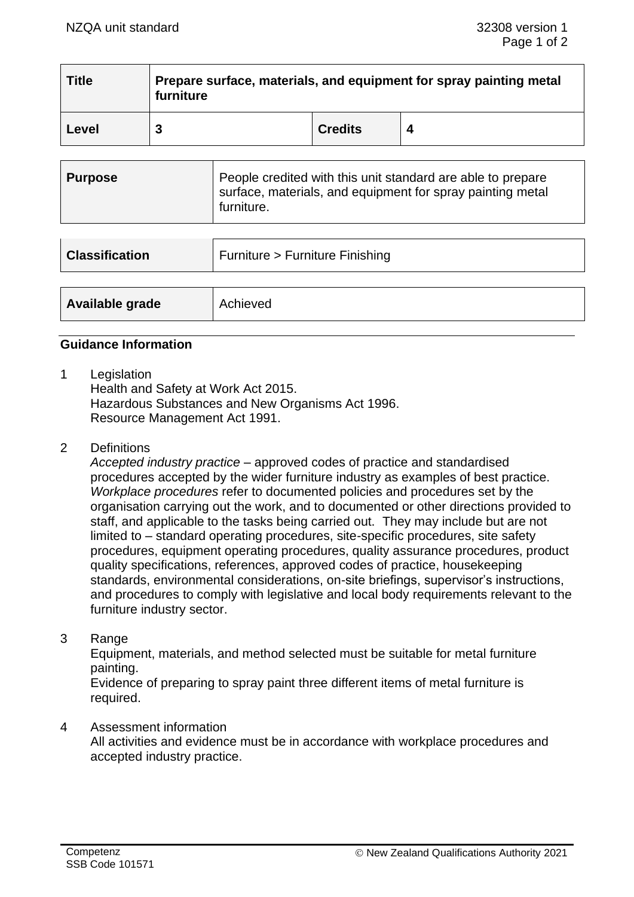| <b>Title</b> | Prepare surface, materials, and equipment for spray painting metal<br>furniture |                |  |  |
|--------------|---------------------------------------------------------------------------------|----------------|--|--|
| Level        |                                                                                 | <b>Credits</b> |  |  |

| Purpose | People credited with this unit standard are able to prepare<br>surface, materials, and equipment for spray painting metal<br>furniture. |
|---------|-----------------------------------------------------------------------------------------------------------------------------------------|
|---------|-----------------------------------------------------------------------------------------------------------------------------------------|

| <b>Classification</b> | Furniture > Furniture Finishing |  |
|-----------------------|---------------------------------|--|
|                       |                                 |  |
| Available grade       | Achieved                        |  |

# **Guidance Information**

1 Legislation

Health and Safety at Work Act 2015. Hazardous Substances and New Organisms Act 1996. Resource Management Act 1991.

2 Definitions

*Accepted industry practice* – approved codes of practice and standardised procedures accepted by the wider furniture industry as examples of best practice. *Workplace procedures* refer to documented policies and procedures set by the organisation carrying out the work, and to documented or other directions provided to staff, and applicable to the tasks being carried out. They may include but are not limited to – standard operating procedures, site-specific procedures, site safety procedures, equipment operating procedures, quality assurance procedures, product quality specifications, references, approved codes of practice, housekeeping standards, environmental considerations, on-site briefings, supervisor's instructions, and procedures to comply with legislative and local body requirements relevant to the furniture industry sector.

3 Range

Equipment, materials, and method selected must be suitable for metal furniture painting.

Evidence of preparing to spray paint three different items of metal furniture is required.

#### 4 Assessment information

All activities and evidence must be in accordance with workplace procedures and accepted industry practice.